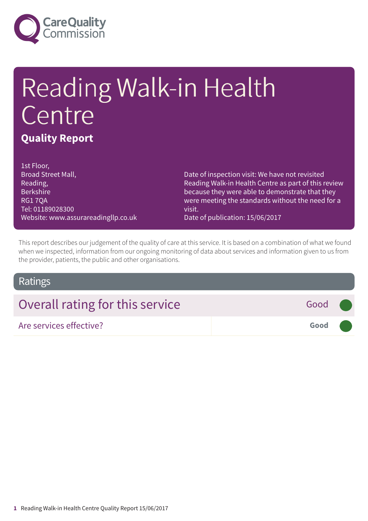

# Reading Walk-in Health Centre **Quality Report**

1st Floor, Broad Street Mall, Reading, Berkshire RG1 7QA Tel: 01189028300 Website: www.assurareadingllp.co.uk

Date of inspection visit: We have not revisited Reading Walk-in Health Centre as part of this review because they were able to demonstrate that they were meeting the standards without the need for a visit.

Date of publication: 15/06/2017

This report describes our judgement of the quality of care at this service. It is based on a combination of what we found when we inspected, information from our ongoing monitoring of data about services and information given to us from the provider, patients, the public and other organisations.

## Ratings

| Overall rating for this service | Good (               |  |
|---------------------------------|----------------------|--|
| Are services effective?         | Good <b>Contract</b> |  |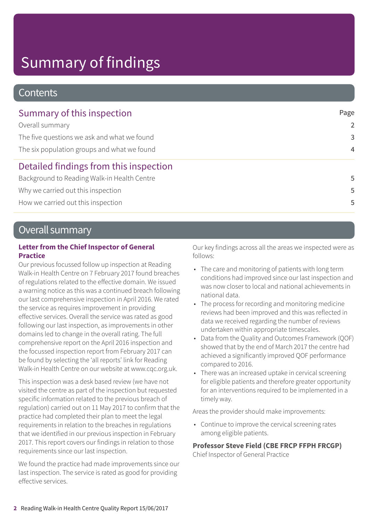# Summary of findings

## **Contents**

| Summary of this inspection                  | Page           |
|---------------------------------------------|----------------|
| Overall summary                             | $\mathcal{P}$  |
| The five questions we ask and what we found | 3              |
| The six population groups and what we found | $\overline{4}$ |
| Detailed findings from this inspection      |                |
| Background to Reading Walk-in Health Centre | 5              |
| Why we carried out this inspection          | 5              |
| How we carried out this inspection          | 5              |

## Overall summary

### **Letter from the Chief Inspector of General Practice**

Our previous focussed follow up inspection at Reading Walk-in Health Centre on 7 February 2017 found breaches of regulations related to the effective domain. We issued a warning notice as this was a continued breach following our last comprehensive inspection in April 2016. We rated the service as requires improvement in providing effective services. Overall the service was rated as good following our last inspection, as improvements in other domains led to change in the overall rating. The full comprehensive report on the April 2016 inspection and the focussed inspection report from February 2017 can be found by selecting the 'all reports' link for Reading Walk-in Health Centre on our website at www.cqc.org.uk.

This inspection was a desk based review (we have not visited the centre as part of the inspection but requested specific information related to the previous breach of regulation) carried out on 11 May 2017 to confirm that the practice had completed their plan to meet the legal requirements in relation to the breaches in regulations that we identified in our previous inspection in February 2017. This report covers our findings in relation to those requirements since our last inspection.

We found the practice had made improvements since our last inspection. The service is rated as good for providing effective services.

Our key findings across all the areas we inspected were as follows:

- The care and monitoring of patients with long term conditions had improved since our last inspection and was now closer to local and national achievements in national data.
- The process for recording and monitoring medicine reviews had been improved and this was reflected in data we received regarding the number of reviews undertaken within appropriate timescales.
- Data from the Quality and Outcomes Framework (QOF) showed that by the end of March 2017 the centre had achieved a significantly improved QOF performance compared to 2016.
- There was an increased uptake in cervical screening for eligible patients and therefore greater opportunity for an interventions required to be implemented in a timely way.

Areas the provider should make improvements:

• Continue to improve the cervical screening rates among eligible patients.

**Professor Steve Field (CBE FRCP FFPH FRCGP)**

Chief Inspector of General Practice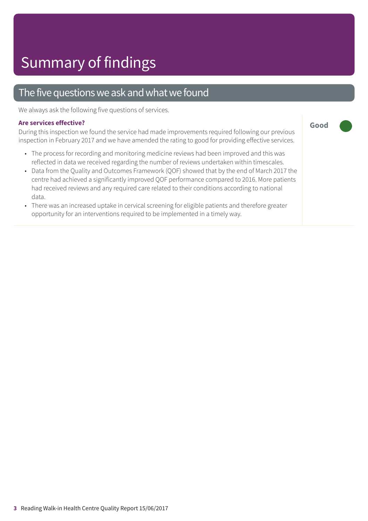## The five questions we ask and what we found

We always ask the following five questions of services.

#### **Are services effective?**

During this inspection we found the service had made improvements required following our previous inspection in February 2017 and we have amended the rating to good for providing effective services.

- The process for recording and monitoring medicine reviews had been improved and this was reflected in data we received regarding the number of reviews undertaken within timescales.
- Data from the Quality and Outcomes Framework (QOF) showed that by the end of March 2017 the centre had achieved a significantly improved QOF performance compared to 2016. More patients had received reviews and any required care related to their conditions according to national data.
- There was an increased uptake in cervical screening for eligible patients and therefore greater opportunity for an interventions required to be implemented in a timely way.

**Good –––**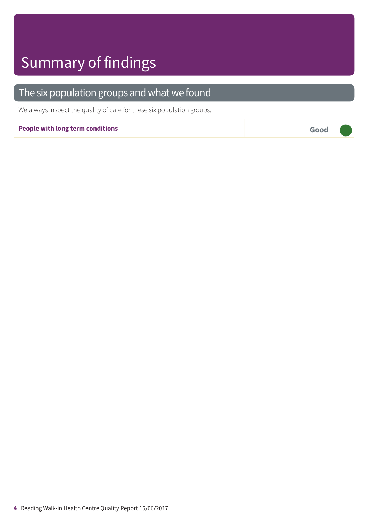# Summary of findings

## The six population groups and what we found

We always inspect the quality of care for these six population groups.

### **People with long term conditions Good –––**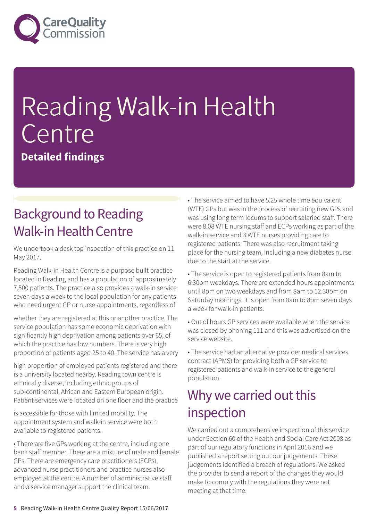

# Reading Walk-in Health Centre

**Detailed findings**

## **Background to Reading** Walk-in Health Centre

We undertook a desk top inspection of this practice on 11 May 2017.

Reading Walk-in Health Centre is a purpose built practice located in Reading and has a population of approximately 7,500 patients. The practice also provides a walk-in service seven days a week to the local population for any patients who need urgent GP or nurse appointments, regardless of

whether they are registered at this or another practice. The service population has some economic deprivation with significantly high deprivation among patients over 65, of which the practice has low numbers. There is very high proportion of patients aged 25 to 40. The service has a very

high proportion of employed patients registered and there is a university located nearby. Reading town centre is ethnically diverse, including ethnic groups of sub-continental, African and Eastern European origin. Patient services were located on one floor and the practice

is accessible for those with limited mobility. The appointment system and walk-in service were both available to registered patients.

• There are five GPs working at the centre, including one bank staff member. There are a mixture of male and female GPs. There are emergency care practitioners (ECPs), advanced nurse practitioners and practice nurses also employed at the centre. A number of administrative staff and a service manager support the clinical team.

• The service aimed to have 5.25 whole time equivalent (WTE) GPs but was in the process of recruiting new GPs and was using long term locums to support salaried staff. There were 8.08 WTE nursing staff and ECPs working as part of the walk-in service and 3 WTE nurses providing care to registered patients. There was also recruitment taking place for the nursing team, including a new diabetes nurse due to the start at the service.

• The service is open to registered patients from 8am to 6.30pm weekdays. There are extended hours appointments until 8pm on two weekdays and from 8am to 12.30pm on Saturday mornings. It is open from 8am to 8pm seven days a week for walk-in patients.

• Out of hours GP services were available when the service was closed by phoning 111 and this was advertised on the service website.

• The service had an alternative provider medical services contract (APMS) for providing both a GP service to registered patients and walk-in service to the general population.

## Why we carried out this inspection

We carried out a comprehensive inspection of this service under Section 60 of the Health and Social Care Act 2008 as part of our regulatory functions in April 2016 and we published a report setting out our judgements. These judgements identified a breach of regulations. We asked the provider to send a report of the changes they would make to comply with the regulations they were not meeting at that time.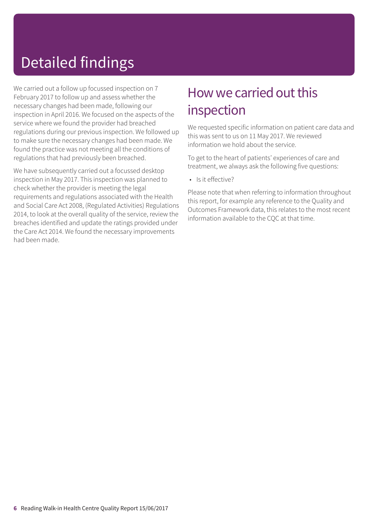# Detailed findings

We carried out a follow up focussed inspection on 7 February 2017 to follow up and assess whether the necessary changes had been made, following our inspection in April 2016. We focused on the aspects of the service where we found the provider had breached regulations during our previous inspection. We followed up to make sure the necessary changes had been made. We found the practice was not meeting all the conditions of regulations that had previously been breached.

We have subsequently carried out a focussed desktop inspection in May 2017. This inspection was planned to check whether the provider is meeting the legal requirements and regulations associated with the Health and Social Care Act 2008, (Regulated Activities) Regulations 2014, to look at the overall quality of the service, review the breaches identified and update the ratings provided under the Care Act 2014. We found the necessary improvements had been made.

## How we carried out this inspection

We requested specific information on patient care data and this was sent to us on 11 May 2017. We reviewed information we hold about the service.

To get to the heart of patients' experiences of care and treatment, we always ask the following five questions:

• Is it effective?

Please note that when referring to information throughout this report, for example any reference to the Quality and Outcomes Framework data, this relates to the most recent information available to the CQC at that time.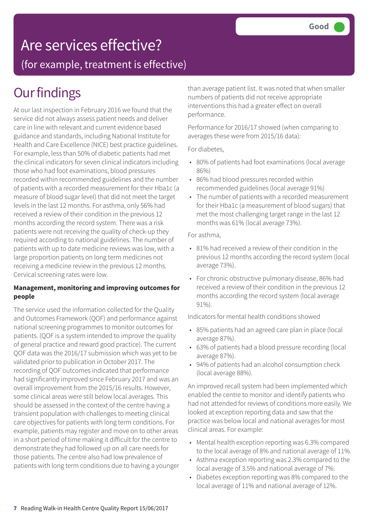# Are services effective?

(for example, treatment is effective)

## **Our findings**

At our last inspection in February 2016 we found that the service did not always assess patient needs and deliver care in line with relevant and current evidence based guidance and standards, including National Institute for Health and Care Excellence (NICE) best practice guidelines. For example, less than 50% of diabetic patients had met the clinical indicators for seven clinical indicators including those who had foot examinations, blood pressures recorded within recommended guidelines and the number of patients with a recorded measurement for their Hba1c (a measure of blood sugar level) that did not meet the target levels in the last 12 months. For asthma, only 56% had received a review of their condition in the previous 12 months according the record system. There was a risk patients were not receiving the quality of check-up they required according to national guidelines. The number of patients with up to date medicine reviews was low, with a large proportion patients on long term medicines not receiving a medicine review in the previous 12 months. Cervical screening rates were low.

### **Management, monitoring and improving outcomes for people**

The service used the information collected for the Quality and Outcomes Framework (QOF) and performance against national screening programmes to monitor outcomes for patients. (QOF is a system intended to improve the quality of general practice and reward good practice). The current QOF data was the 2016/17 submission which was yet to be validated prior to publication in October 2017. The recording of QOF outcomes indicated that performance had significantly improved since February 2017 and was an overall improvement from the 2015/16 results. However, some clinical areas were still below local averages. This should be assessed in the context of the centre having a transient population with challenges to meeting clinical care objectives for patients with long term conditions. For example, patients may register and move on to other areas in a short period of time making it difficult for the centre to demonstrate they had followed up on all care needs for those patients. The centre also had low prevalence of patients with long term conditions due to having a younger than average patient list. It was noted that when smaller numbers of patients did not receive appropriate interventions this had a greater effect on overall performance.

Performance for 2016/17 showed (when comparing to averages these were from 2015/16 data):

For diabetes,

- 80% of patients had foot examinations (local average 86%)
- 86% had blood pressures recorded within recommended guidelines (local average 91%)
- The number of patients with a recorded measurement for their Hba1c (a measurement of blood sugars) that met the most challenging target range in the last 12 months was 61% (local average 73%).

For asthma,

- 81% had received a review of their condition in the previous 12 months according the record system (local average 73%).
- For chronic obstructive pulmonary disease, 86% had received a review of their condition in the previous 12 months according the record system (local average 91%).

Indicators for mental health conditions showed

- 85% patients had an agreed care plan in place (local average 87%).
- 63% of patients had a blood pressure recording (local average 87%).
- 94% of patients had an alcohol consumption check (local average 88%).

An improved recall system had been implemented which enabled the centre to monitor and identify patients who had not attended for reviews of conditions more easily. We looked at exception reporting data and saw that the practice was below local and national averages for most clinical areas. For example:

- Mental health exception reporting was 6.3% compared to the local average of 8% and national average of 11%.
- Asthma exception reporting was 2.3% compared to the local average of 3.5% and national average of 7%.
- Diabetes exception reporting was 8% compared to the local average of 11% and national average of 12%.